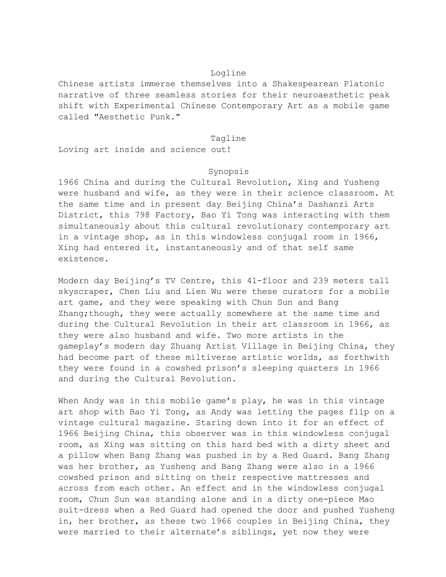## Logline

Chinese artists immerse themselves into a Shakespearean Platonic narrative of three seamless stories for their neuroaesthetic peak shift with Experimental Chinese Contemporary Art as a mobile game called "Aesthetic Punk."

## Tagline

Loving art inside and science out!

## Synopsis

1966 China and during the Cultural Revolution, Xing and Yusheng were husband and wife, as they were in their science classroom. At the same time and in present day Beijing China's Dashanzi Arts District, this 798 Factory, Bao Yi Tong was interacting with them simultaneously about this cultural revolutionary contemporary art in a vintage shop, as in this windowless conjugal room in 1966, Xing had entered it, instantaneously and of that self same existence.

Modern day Beijing's TV Centre, this 41-floor and 239 meters tall skyscraper, Chen Liu and Lien Wu were these curators for a mobile art game, and they were speaking with Chun Sun and Bang Zhang; though, they were actually somewhere at the same time and during the Cultural Revolution in their art classroom in 1966, as they were also husband and wife. Two more artists in the gameplay's modern day Zhuang Artist Village in Beijing China, they had become part of these miltiverse artistic worlds, as forthwith they were found in a cowshed prison's sleeping quarters in 1966 and during the Cultural Revolution.

When Andy was in this mobile game's play, he was in this vintage art shop with Bao Yi Tong, as Andy was letting the pages flip on a vintage cultural magazine. Staring down into it for an effect of 1966 Beijing China, this observer was in this windowless conjugal room, as Xing was sitting on this hard bed with a dirty sheet and a pillow when Bang Zhang was pushed in by a Red Guard. Bang Zhang was her brother, as Yusheng and Bang Zhang were also in a 1966 cowshed prison and sitting on their respective mattresses and across from each other. An effect and in the windowless conjugal room, Chun Sun was standing alone and in a dirty one-piece Mao suit-dress when a Red Guard had opened the door and pushed Yusheng in, her brother, as these two 1966 couples in Beijing China, they were married to their alternate's siblings, yet now they were